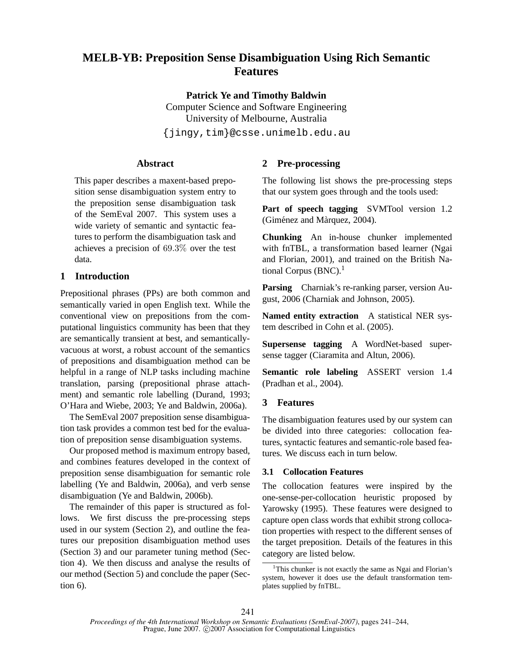# **MELB-YB: Preposition Sense Disambiguation Using Rich Semantic Features**

**Patrick Ye and Timothy Baldwin**

Computer Science and Software Engineering University of Melbourne, Australia {jingy,tim}@csse.unimelb.edu.au

**Abstract**

This paper describes a maxent-based preposition sense disambiguation system entry to the preposition sense disambiguation task of the SemEval 2007. This system uses a wide variety of semantic and syntactic features to perform the disambiguation task and achieves a precision of 69.3% over the test data.

# **1 Introduction**

Prepositional phrases (PPs) are both common and semantically varied in open English text. While the conventional view on prepositions from the computational linguistics community has been that they are semantically transient at best, and semanticallyvacuous at worst, a robust account of the semantics of prepositions and disambiguation method can be helpful in a range of NLP tasks including machine translation, parsing (prepositional phrase attachment) and semantic role labelling (Durand, 1993; O'Hara and Wiebe, 2003; Ye and Baldwin, 2006a).

The SemEval 2007 preposition sense disambiguation task provides a common test bed for the evaluation of preposition sense disambiguation systems.

Our proposed method is maximum entropy based, and combines features developed in the context of preposition sense disambiguation for semantic role labelling (Ye and Baldwin, 2006a), and verb sense disambiguation (Ye and Baldwin, 2006b).

The remainder of this paper is structured as follows. We first discuss the pre-processing steps used in our system (Section 2), and outline the features our preposition disambiguation method uses (Section 3) and our parameter tuning method (Section 4). We then discuss and analyse the results of our method (Section 5) and conclude the paper (Section 6).

# **2 Pre-processing**

The following list shows the pre-processing steps that our system goes through and the tools used:

**Part of speech tagging** SVMTool version 1.2 (Giménez and Màrquez, 2004).

**Chunking** An in-house chunker implemented with fnTBL, a transformation based learner (Ngai and Florian, 2001), and trained on the British National Corpus  $(BNC)$ .<sup>1</sup>

**Parsing** Charniak's re-ranking parser, version August, 2006 (Charniak and Johnson, 2005).

**Named entity extraction** A statistical NER system described in Cohn et al. (2005).

**Supersense tagging** A WordNet-based supersense tagger (Ciaramita and Altun, 2006).

**Semantic role labeling** ASSERT version 1.4 (Pradhan et al., 2004).

## **3 Features**

The disambiguation features used by our system can be divided into three categories: collocation features, syntactic features and semantic-role based features. We discuss each in turn below.

## **3.1 Collocation Features**

The collocation features were inspired by the one-sense-per-collocation heuristic proposed by Yarowsky (1995). These features were designed to capture open class words that exhibit strong collocation properties with respect to the different senses of the target preposition. Details of the features in this category are listed below.

<sup>&</sup>lt;sup>1</sup>This chunker is not exactly the same as Ngai and Florian's system, however it does use the default transformation templates supplied by fnTBL.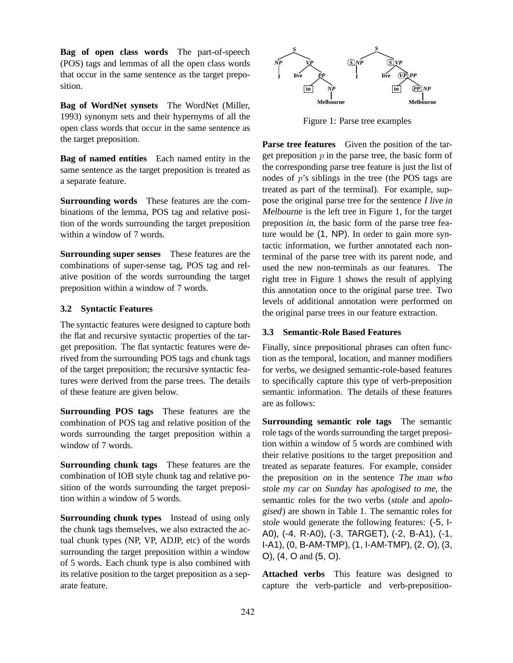**Bag of open class words** The part-of-speech (POS) tags and lemmas of all the open class words that occur in the same sentence as the target preposition.

**Bag of WordNet synsets** The WordNet (Miller, 1993) synonym sets and their hypernyms of all the open class words that occur in the same sentence as the target preposition.

**Bag of named entities** Each named entity in the same sentence as the target preposition is treated as a separate feature.

**Surrounding words** These features are the combinations of the lemma, POS tag and relative position of the words surrounding the target preposition within a window of 7 words.

**Surrounding super senses** These features are the combinations of super-sense tag, POS tag and relative position of the words surrounding the target preposition within a window of 7 words.

### **3.2 Syntactic Features**

The syntactic features were designed to capture both the flat and recursive syntactic properties of the target preposition. The flat syntactic features were derived from the surrounding POS tags and chunk tags of the target preposition; the recursive syntactic features were derived from the parse trees. The details of these feature are given below.

**Surrounding POS tags** These features are the combination of POS tag and relative position of the words surrounding the target preposition within a window of 7 words.

**Surrounding chunk tags** These features are the combination of IOB style chunk tag and relative position of the words surrounding the target preposition within a window of 5 words.

**Surrounding chunk types** Instead of using only the chunk tags themselves, we also extracted the actual chunk types (NP, VP, ADJP, etc) of the words surrounding the target preposition within a window of 5 words. Each chunk type is also combined with its relative position to the target preposition as a separate feature.



Figure 1: Parse tree examples

**Parse tree features** Given the position of the target preposition  $p$  in the parse tree, the basic form of the corresponding parse tree feature is just the list of nodes of p's siblings in the tree (the POS tags are treated as part of the terminal). For example, suppose the original parse tree for the sentence <sup>I</sup> live in Melbourne is the left tree in Figure 1, for the target preposition in, the basic form of the parse tree feature would be (1, NP). In order to gain more syntactic information, we further annotated each nonterminal of the parse tree with its parent node, and used the new non-terminals as our features. The right tree in Figure 1 shows the result of applying this annotation once to the original parse tree. Two levels of additional annotation were performed on the original parse trees in our feature extraction.

## **3.3 Semantic-Role Based Features**

Finally, since prepositional phrases can often function as the temporal, location, and manner modifiers for verbs, we designed semantic-role-based features to specifically capture this type of verb-preposition semantic information. The details of these features are as follows:

**Surrounding semantic role tags** The semantic role tags of the words surrounding the target preposition within a window of 5 words are combined with their relative positions to the target preposition and treated as separate features. For example, consider the preposition on in the sentence The man who stole my car on Sunday has apologised to me, the semantic roles for the two verbs (stole and apologised) are shown in Table 1. The semantic roles for stole would generate the following features: (-5, I-A0), (-4, R-A0), (-3, TARGET), (-2, B-A1), (-1, I-A1), (0, B-AM-TMP), (1, I-AM-TMP), (2, O), (3, O), (4, O and (5, O).

**Attached verbs** This feature was designed to capture the verb-particle and verb-preposition-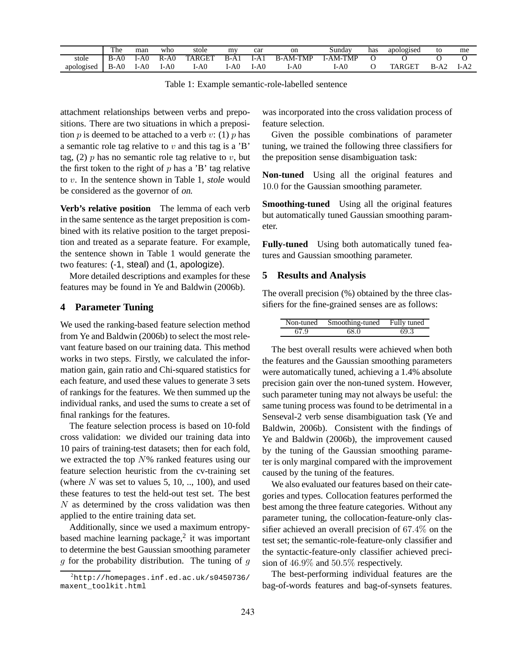|            | r he   | man  | who    | stole         | m٧    | car  | on              | Sundav          | has | apologised | to   | me   |
|------------|--------|------|--------|---------------|-------|------|-----------------|-----------------|-----|------------|------|------|
| stole      | $B-A0$ | l-A0 | $R-A0$ | <b>TARGET</b> | $B-A$ | l-Al | <b>B-AM-TMP</b> | <b>I-AM-TMP</b> |     |            |      |      |
| apologised | $B-A0$ | 1-AC | [-A0   | I-A0          | I-A0  | l-A0 | I-A0            | l-A0            |     | TARGET     | B-A2 | I-A2 |

Table 1: Example semantic-role-labelled sentence

attachment relationships between verbs and prepositions. There are two situations in which a preposition p is deemed to be attached to a verb v: (1) p has a semantic role tag relative to  $v$  and this tag is a 'B' tag, (2)  $p$  has no semantic role tag relative to  $v$ , but the first token to the right of  $p$  has a 'B' tag relative to v. In the sentence shown in Table 1, stole would be considered as the governor of on.

**Verb's relative position** The lemma of each verb in the same sentence as the target preposition is combined with its relative position to the target preposition and treated as a separate feature. For example, the sentence shown in Table 1 would generate the two features: (-1, steal) and (1, apologize).

More detailed descriptions and examples for these features may be found in Ye and Baldwin (2006b).

### **4 Parameter Tuning**

We used the ranking-based feature selection method from Ye and Baldwin (2006b) to select the most relevant feature based on our training data. This method works in two steps. Firstly, we calculated the information gain, gain ratio and Chi-squared statistics for each feature, and used these values to generate 3 sets of rankings for the features. We then summed up the individual ranks, and used the sums to create a set of final rankings for the features.

The feature selection process is based on 10-fold cross validation: we divided our training data into 10 pairs of training-test datasets; then for each fold, we extracted the top  $N\%$  ranked features using our feature selection heuristic from the cv-training set (where  $N$  was set to values 5, 10, .., 100), and used these features to test the held-out test set. The best  $N$  as determined by the cross validation was then applied to the entire training data set.

Additionally, since we used a maximum entropybased machine learning package, $2$  it was important to determine the best Gaussian smoothing parameter  $g$  for the probability distribution. The tuning of  $g$  was incorporated into the cross validation process of feature selection.

Given the possible combinations of parameter tuning, we trained the following three classifiers for the preposition sense disambiguation task:

**Non-tuned** Using all the original features and 10.0 for the Gaussian smoothing parameter.

**Smoothing-tuned** Using all the original features but automatically tuned Gaussian smoothing parameter.

**Fully-tuned** Using both automatically tuned features and Gaussian smoothing parameter.

#### **5 Results and Analysis**

The overall precision (%) obtained by the three classifiers for the fine-grained senses are as follows:

| Non-tuned | Smoothing-tuned | Fully tuned |
|-----------|-----------------|-------------|
| 67.9      | 68.0            | 69.3        |

The best overall results were achieved when both the features and the Gaussian smoothing parameters were automatically tuned, achieving a 1.4% absolute precision gain over the non-tuned system. However, such parameter tuning may not always be useful: the same tuning process was found to be detrimental in a Senseval-2 verb sense disambiguation task (Ye and Baldwin, 2006b). Consistent with the findings of Ye and Baldwin (2006b), the improvement caused by the tuning of the Gaussian smoothing parameter is only marginal compared with the improvement caused by the tuning of the features.

We also evaluated our features based on their categories and types. Collocation features performed the best among the three feature categories. Without any parameter tuning, the collocation-feature-only classifier achieved an overall precision of 67.4% on the test set; the semantic-role-feature-only classifier and the syntactic-feature-only classifier achieved precision of 46.9% and 50.5% respectively.

The best-performing individual features are the bag-of-words features and bag-of-synsets features.

 $^{2}$ http://homepages.inf.ed.ac.uk/s0450736/ maxent\_toolkit.html